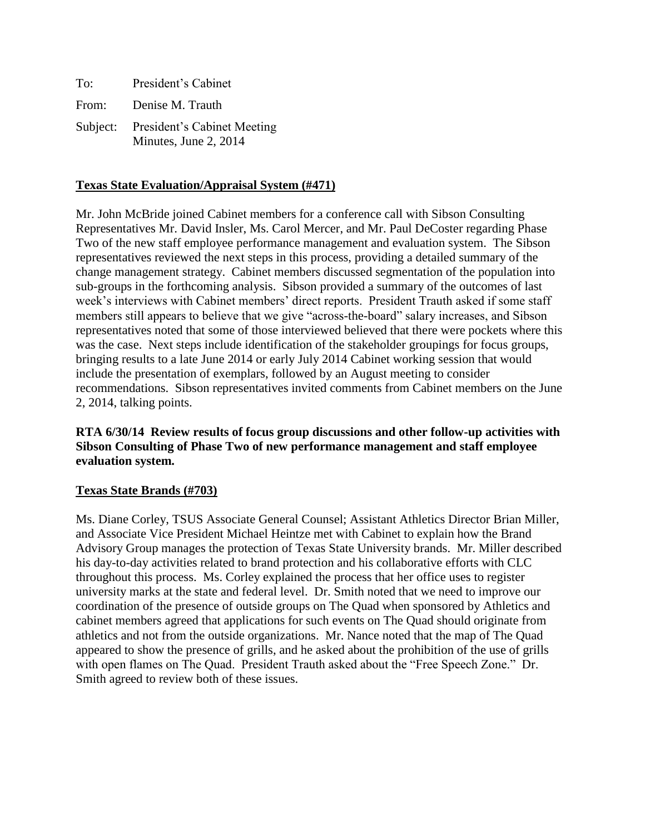| To:   | President's Cabinet                                           |
|-------|---------------------------------------------------------------|
| From: | Denise M. Trauth                                              |
|       | Subject: President's Cabinet Meeting<br>Minutes, June 2, 2014 |

## **Texas State Evaluation/Appraisal System (#471)**

Mr. John McBride joined Cabinet members for a conference call with Sibson Consulting Representatives Mr. David Insler, Ms. Carol Mercer, and Mr. Paul DeCoster regarding Phase Two of the new staff employee performance management and evaluation system. The Sibson representatives reviewed the next steps in this process, providing a detailed summary of the change management strategy. Cabinet members discussed segmentation of the population into sub-groups in the forthcoming analysis. Sibson provided a summary of the outcomes of last week's interviews with Cabinet members' direct reports. President Trauth asked if some staff members still appears to believe that we give "across-the-board" salary increases, and Sibson representatives noted that some of those interviewed believed that there were pockets where this was the case. Next steps include identification of the stakeholder groupings for focus groups, bringing results to a late June 2014 or early July 2014 Cabinet working session that would include the presentation of exemplars, followed by an August meeting to consider recommendations. Sibson representatives invited comments from Cabinet members on the June 2, 2014, talking points.

**RTA 6/30/14 Review results of focus group discussions and other follow-up activities with Sibson Consulting of Phase Two of new performance management and staff employee evaluation system.**

#### **Texas State Brands (#703)**

Ms. Diane Corley, TSUS Associate General Counsel; Assistant Athletics Director Brian Miller, and Associate Vice President Michael Heintze met with Cabinet to explain how the Brand Advisory Group manages the protection of Texas State University brands. Mr. Miller described his day-to-day activities related to brand protection and his collaborative efforts with CLC throughout this process. Ms. Corley explained the process that her office uses to register university marks at the state and federal level. Dr. Smith noted that we need to improve our coordination of the presence of outside groups on The Quad when sponsored by Athletics and cabinet members agreed that applications for such events on The Quad should originate from athletics and not from the outside organizations. Mr. Nance noted that the map of The Quad appeared to show the presence of grills, and he asked about the prohibition of the use of grills with open flames on The Quad. President Trauth asked about the "Free Speech Zone." Dr. Smith agreed to review both of these issues.